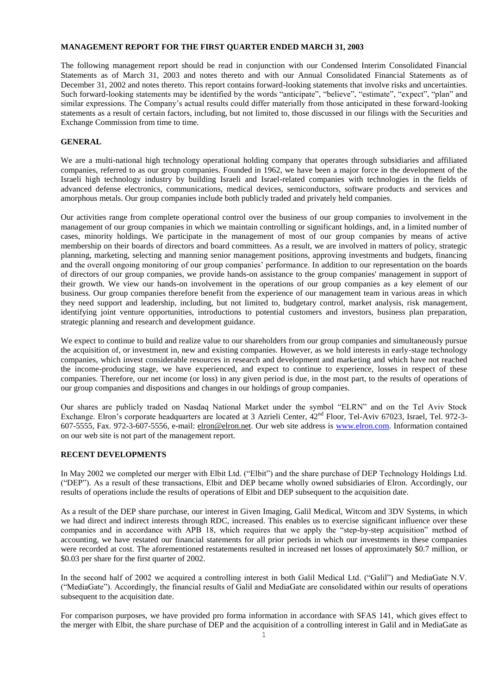## **MANAGEMENT REPORT FOR THE FIRST QUARTER ENDED MARCH 31, 2003**

The following management report should be read in conjunction with our Condensed Interim Consolidated Financial Statements as of March 31, 2003 and notes thereto and with our Annual Consolidated Financial Statements as of December 31, 2002 and notes thereto. This report contains forward-looking statements that involve risks and uncertainties. Such forward-looking statements may be identified by the words "anticipate", "believe", "estimate", "expect", "plan" and similar expressions. The Company's actual results could differ materially from those anticipated in these forward-looking statements as a result of certain factors, including, but not limited to, those discussed in our filings with the Securities and Exchange Commission from time to time.

## **GENERAL**

We are a multi-national high technology operational holding company that operates through subsidiaries and affiliated companies, referred to as our group companies. Founded in 1962, we have been a major force in the development of the Israeli high technology industry by building Israeli and Israel-related companies with technologies in the fields of advanced defense electronics, communications, medical devices, semiconductors, software products and services and amorphous metals. Our group companies include both publicly traded and privately held companies.

Our activities range from complete operational control over the business of our group companies to involvement in the management of our group companies in which we maintain controlling or significant holdings, and, in a limited number of cases, minority holdings. We participate in the management of most of our group companies by means of active membership on their boards of directors and board committees. As a result, we are involved in matters of policy, strategic planning, marketing, selecting and manning senior management positions, approving investments and budgets, financing and the overall ongoing monitoring of our group companies' performance. In addition to our representation on the boards of directors of our group companies, we provide hands-on assistance to the group companies' management in support of their growth. We view our hands-on involvement in the operations of our group companies as a key element of our business. Our group companies therefore benefit from the experience of our management team in various areas in which they need support and leadership, including, but not limited to, budgetary control, market analysis, risk management, identifying joint venture opportunities, introductions to potential customers and investors, business plan preparation, strategic planning and research and development guidance.

We expect to continue to build and realize value to our shareholders from our group companies and simultaneously pursue the acquisition of, or investment in, new and existing companies. However, as we hold interests in early-stage technology companies, which invest considerable resources in research and development and marketing and which have not reached the income-producing stage, we have experienced, and expect to continue to experience, losses in respect of these companies. Therefore, our net income (or loss) in any given period is due, in the most part, to the results of operations of our group companies and dispositions and changes in our holdings of group companies.

Our shares are publicly traded on Nasdaq National Market under the symbol "ELRN" and on the Tel Aviv Stock Exchange. Elron's corporate headquarters are located at 3 Azrieli Center,  $42^{nd}$  Floor, Tel-Aviv 67023, Israel, Tel. 972-3-607-5555, Fax. 972-3-607-5556, e-mail: [elron@elron.net.](mailto:Elron@elron.net) Our web site address is [www.elron.com.](http://www.elron.com/) Information contained on our web site is not part of the management report.

# **RECENT DEVELOPMENTS**

In May 2002 we completed our merger with Elbit Ltd. ("Elbit") and the share purchase of DEP Technology Holdings Ltd. ("DEP"). As a result of these transactions, Elbit and DEP became wholly owned subsidiaries of Elron. Accordingly, our results of operations include the results of operations of Elbit and DEP subsequent to the acquisition date.

As a result of the DEP share purchase, our interest in Given Imaging, Galil Medical, Witcom and 3DV Systems, in which we had direct and indirect interests through RDC, increased. This enables us to exercise significant influence over these companies and in accordance with APB 18, which requires that we apply the "step-by-step acquisition" method of accounting, we have restated our financial statements for all prior periods in which our investments in these companies were recorded at cost. The aforementioned restatements resulted in increased net losses of approximately \$0.7 million, or \$0.03 per share for the first quarter of 2002.

In the second half of 2002 we acquired a controlling interest in both Galil Medical Ltd. ("Galil") and MediaGate N.V. ("MediaGate"). Accordingly, the financial results of Galil and MediaGate are consolidated within our results of operations subsequent to the acquisition date.

For comparison purposes, we have provided pro forma information in accordance with SFAS 141, which gives effect to the merger with Elbit, the share purchase of DEP and the acquisition of a controlling interest in Galil and in MediaGate as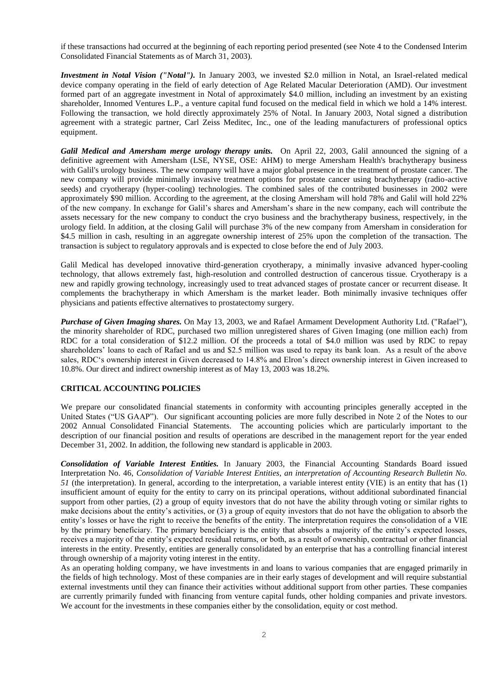if these transactions had occurred at the beginning of each reporting period presented (see Note 4 to the Condensed Interim Consolidated Financial Statements as of March 31, 2003).

*Investment in Notal Vision ("Notal").* In January 2003, we invested \$2.0 million in Notal, an Israel-related medical device company operating in the field of early detection of Age Related Macular Deterioration (AMD). Our investment formed part of an aggregate investment in Notal of approximately \$4.0 million, including an investment by an existing shareholder, Innomed Ventures L.P., a venture capital fund focused on the medical field in which we hold a 14% interest. Following the transaction, we hold directly approximately 25% of Notal. In January 2003, Notal signed a distribution agreement with a strategic partner, Carl Zeiss Meditec, Inc., one of the leading manufacturers of professional optics equipment.

*Galil Medical and Amersham merge urology therapy units.* On April 22, 2003, Galil announced the signing of a definitive agreement with Amersham (LSE, NYSE, OSE: AHM) to merge Amersham Health's brachytherapy business with Galil's urology business. The new company will have a major global presence in the treatment of prostate cancer. The new company will provide minimally invasive treatment options for prostate cancer using brachytherapy (radio-active seeds) and cryotherapy (hyper-cooling) technologies. The combined sales of the contributed businesses in 2002 were approximately \$90 million. According to the agreement, at the closing Amersham will hold 78% and Galil will hold 22% of the new company. In exchange for Galil's shares and Amersham's share in the new company, each will contribute the assets necessary for the new company to conduct the cryo business and the brachytherapy business, respectively, in the urology field. In addition, at the closing Galil will purchase 3% of the new company from Amersham in consideration for \$4.5 million in cash, resulting in an aggregate ownership interest of 25% upon the completion of the transaction. The transaction is subject to regulatory approvals and is expected to close before the end of July 2003.

Galil Medical has developed innovative third-generation cryotherapy, a minimally invasive advanced hyper-cooling technology, that allows extremely fast, high-resolution and controlled destruction of cancerous tissue. Cryotherapy is a new and rapidly growing technology, increasingly used to treat advanced stages of prostate cancer or recurrent disease. It complements the brachytherapy in which Amersham is the market leader. Both minimally invasive techniques offer physicians and patients effective alternatives to prostatectomy surgery.

*Purchase of Given Imaging shares.* On May 13, 2003, we and Rafael Armament Development Authority Ltd. ("Rafael"), the minority shareholder of RDC, purchased two million unregistered shares of Given Imaging (one million each) from RDC for a total consideration of \$12.2 million. Of the proceeds a total of \$4.0 million was used by RDC to repay shareholders' loans to each of Rafael and us and \$2.5 million was used to repay its bank loan. As a result of the above sales, RDC's ownership interest in Given decreased to 14.8% and Elron's direct ownership interest in Given increased to 10.8%. Our direct and indirect ownership interest as of May 13, 2003 was 18.2%.

### **CRITICAL ACCOUNTING POLICIES**

We prepare our consolidated financial statements in conformity with accounting principles generally accepted in the United States ("US GAAP"). Our significant accounting policies are more fully described in Note 2 of the Notes to our 2002 Annual Consolidated Financial Statements. The accounting policies which are particularly important to the description of our financial position and results of operations are described in the management report for the year ended December 31, 2002. In addition, the following new standard is applicable in 2003.

*Consolidation of Variable Interest Entities.* In January 2003, the Financial Accounting Standards Board issued Interpretation No. 46, *Consolidation of Variable Interest Entities, an interpretation of Accounting Research Bulletin No. 51* (the interpretation). In general, according to the interpretation, a variable interest entity (VIE) is an entity that has (1) insufficient amount of equity for the entity to carry on its principal operations, without additional subordinated financial support from other parties, (2) a group of equity investors that do not have the ability through voting or similar rights to make decisions about the entity's activities, or (3) a group of equity investors that do not have the obligation to absorb the entity's losses or have the right to receive the benefits of the entity. The interpretation requires the consolidation of a VIE by the primary beneficiary. The primary beneficiary is the entity that absorbs a majority of the entity's expected losses, receives a majority of the entity's expected residual returns, or both, as a result of ownership, contractual or other financial interests in the entity. Presently, entities are generally consolidated by an enterprise that has a controlling financial interest through ownership of a majority voting interest in the entity.

As an operating holding company, we have investments in and loans to various companies that are engaged primarily in the fields of high technology. Most of these companies are in their early stages of development and will require substantial external investments until they can finance their activities without additional support from other parties. These companies are currently primarily funded with financing from venture capital funds, other holding companies and private investors. We account for the investments in these companies either by the consolidation, equity or cost method.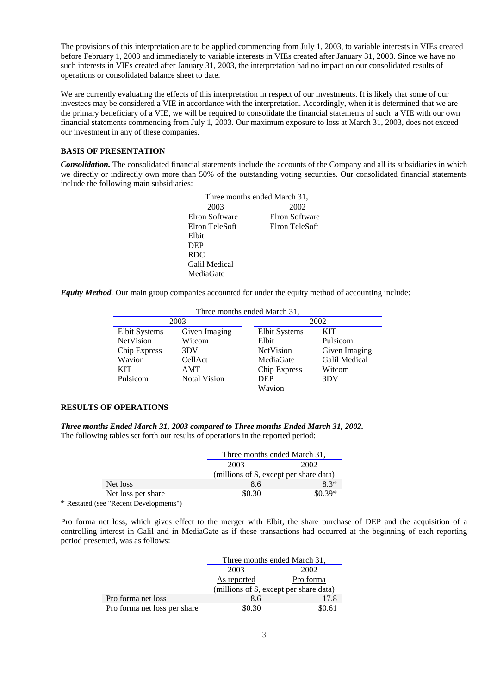The provisions of this interpretation are to be applied commencing from July 1, 2003, to variable interests in VIEs created before February 1, 2003 and immediately to variable interests in VIEs created after January 31, 2003. Since we have no such interests in VIEs created after January 31, 2003, the interpretation had no impact on our consolidated results of operations or consolidated balance sheet to date.

We are currently evaluating the effects of this interpretation in respect of our investments. It is likely that some of our investees may be considered a VIE in accordance with the interpretation. Accordingly, when it is determined that we are the primary beneficiary of a VIE, we will be required to consolidate the financial statements of such a VIE with our own financial statements commencing from July 1, 2003. Our maximum exposure to loss at March 31, 2003, does not exceed our investment in any of these companies.

# **BASIS OF PRESENTATION**

*Consolidation.* The consolidated financial statements include the accounts of the Company and all its subsidiaries in which we directly or indirectly own more than 50% of the outstanding voting securities. Our consolidated financial statements include the following main subsidiaries:

| Three months ended March 31, |                |  |  |  |
|------------------------------|----------------|--|--|--|
| 2003                         | 2002           |  |  |  |
| Elron Software               | Elron Software |  |  |  |
| Elron TeleSoft               | Elron TeleSoft |  |  |  |
| Elbit                        |                |  |  |  |
| DEP                          |                |  |  |  |
| <b>RDC</b>                   |                |  |  |  |
| Galil Medical                |                |  |  |  |
| MediaGate                    |                |  |  |  |

*Equity Method.* Our main group companies accounted for under the equity method of accounting include:

| Three months ended March 31, |                     |               |                      |
|------------------------------|---------------------|---------------|----------------------|
| 2003                         |                     |               | 2002                 |
| Elbit Systems                | Given Imaging       | Elbit Systems | <b>KIT</b>           |
| NetVision                    | Witcom              | Elbit         | Pulsicom             |
| <b>Chip Express</b>          | 3DV                 | NetVision     | Given Imaging        |
| Wavion                       | CellAct             | MediaGate     | <b>Galil Medical</b> |
| <b>KIT</b>                   | <b>AMT</b>          | Chip Express  | Witcom               |
| Pulsicom                     | <b>Notal Vision</b> | <b>DEP</b>    | 3DV                  |
|                              |                     | Wavion        |                      |

### **RESULTS OF OPERATIONS**

*Three months Ended March 31, 2003 compared to Three months Ended March 31, 2002.*  The following tables set forth our results of operations in the reported period:

|                                        | Three months ended March 31,            |          |
|----------------------------------------|-----------------------------------------|----------|
|                                        | 2003<br>2002                            |          |
|                                        | (millions of \$, except per share data) |          |
| Net loss                               | 8.6                                     | $8.3*$   |
| Net loss per share                     | \$0.30                                  | $$0.39*$ |
| * Restated (see "Recent Developments") |                                         |          |

Pro forma net loss, which gives effect to the merger with Elbit, the share purchase of DEP and the acquisition of a controlling interest in Galil and in MediaGate as if these transactions had occurred at the beginning of each reporting period presented, was as follows:

|                              | Three months ended March 31,            |      |
|------------------------------|-----------------------------------------|------|
|                              | 2003<br>2002                            |      |
|                              | Pro forma<br>As reported                |      |
|                              | (millions of \$, except per share data) |      |
| Pro forma net loss           | 8.6                                     | 17.8 |
| Pro forma net loss per share | \$0.61<br>\$0.30                        |      |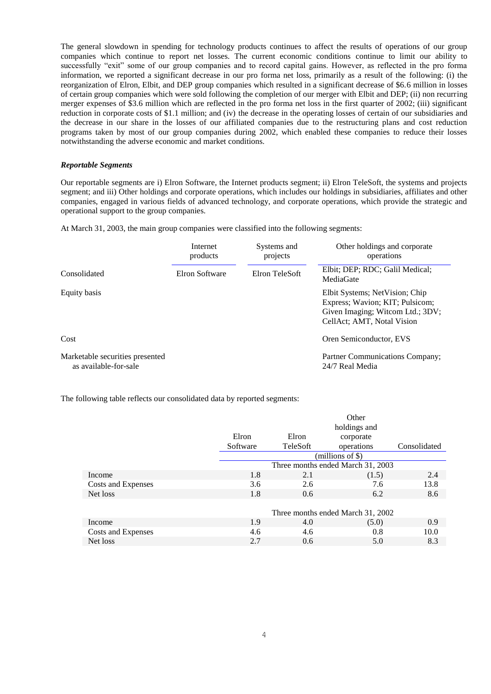The general slowdown in spending for technology products continues to affect the results of operations of our group companies which continue to report net losses. The current economic conditions continue to limit our ability to successfully "exit" some of our group companies and to record capital gains. However, as reflected in the pro forma information, we reported a significant decrease in our pro forma net loss, primarily as a result of the following: (i) the reorganization of Elron, Elbit, and DEP group companies which resulted in a significant decrease of \$6.6 million in losses of certain group companies which were sold following the completion of our merger with Elbit and DEP; (ii) non recurring merger expenses of \$3.6 million which are reflected in the pro forma net loss in the first quarter of 2002; (iii) significant reduction in corporate costs of \$1.1 million; and (iv) the decrease in the operating losses of certain of our subsidiaries and the decrease in our share in the losses of our affiliated companies due to the restructuring plans and cost reduction programs taken by most of our group companies during 2002, which enabled these companies to reduce their losses notwithstanding the adverse economic and market conditions.

#### *Reportable Segments*

Our reportable segments are i) Elron Software, the Internet products segment; ii) Elron TeleSoft, the systems and projects segment; and iii) Other holdings and corporate operations, which includes our holdings in subsidiaries, affiliates and other companies, engaged in various fields of advanced technology, and corporate operations, which provide the strategic and operational support to the group companies.

At March 31, 2003, the main group companies were classified into the following segments:

|                                                          | Internet<br>products | Systems and<br>projects | Other holdings and corporate<br>operations                                                                                          |
|----------------------------------------------------------|----------------------|-------------------------|-------------------------------------------------------------------------------------------------------------------------------------|
| Consolidated                                             | Elron Software       | Elron TeleSoft          | Elbit; DEP; RDC; Galil Medical;<br>MediaGate                                                                                        |
| Equity basis                                             |                      |                         | Elbit Systems; NetVision; Chip<br>Express; Wavion; KIT; Pulsicom;<br>Given Imaging; Witcom Ltd.; 3DV;<br>CellAct; AMT, Notal Vision |
| Cost                                                     |                      |                         | Oren Semiconductor, EVS                                                                                                             |
| Marketable securities presented<br>as available-for-sale |                      |                         | Partner Communications Company;<br>24/7 Real Media                                                                                  |

The following table reflects our consolidated data by reported segments:

|                    |          |          | Other                             |              |
|--------------------|----------|----------|-----------------------------------|--------------|
|                    |          |          | holdings and                      |              |
|                    | Elron    | Elron    | corporate                         |              |
|                    | Software | TeleSoft | operations                        | Consolidated |
|                    |          |          | (millions of \$)                  |              |
|                    |          |          | Three months ended March 31, 2003 |              |
| Income             | 1.8      | 2.1      | (1.5)                             | 2.4          |
| Costs and Expenses | 3.6      | 2.6      | 7.6                               | 13.8         |
| Net loss           | 1.8      | 0.6      | 6.2                               | 8.6          |
|                    |          |          |                                   |              |
|                    |          |          | Three months ended March 31, 2002 |              |
| Income             | 1.9      | 4.0      | (5.0)                             | 0.9          |
| Costs and Expenses | 4.6      | 4.6      | 0.8                               | 10.0         |
| Net loss           | 2.7      | 0.6      | 5.0                               | 8.3          |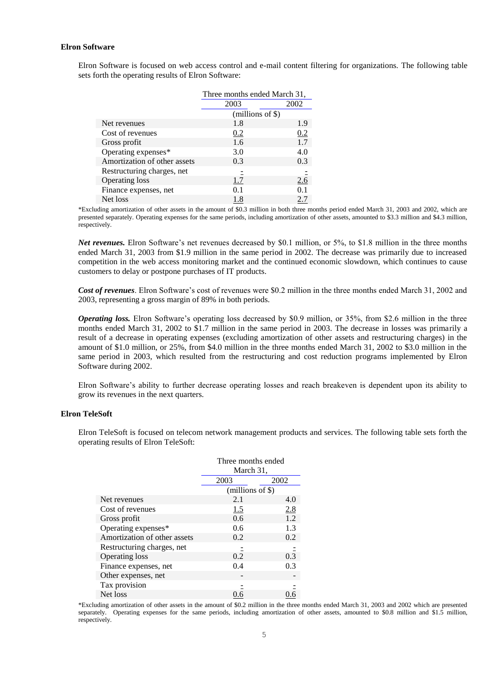## **Elron Software**

Elron Software is focused on web access control and e-mail content filtering for organizations. The following table sets forth the operating results of Elron Software:

|                              | Three months ended March 31, |      |
|------------------------------|------------------------------|------|
|                              | 2003                         | 2002 |
|                              | $(millions of \$))$          |      |
| Net revenues                 | 1.8                          | 1.9  |
| Cost of revenues             | 0.2                          | 0.2  |
| Gross profit                 | 1.6                          | 1.7  |
| Operating expenses*          | 3.0                          | 4.0  |
| Amortization of other assets | 0.3                          | 0.3  |
| Restructuring charges, net   |                              |      |
| <b>Operating loss</b>        | 1.7                          | 2.6  |
| Finance expenses, net        | 0.1                          | 0.1  |
| Net loss                     | 1.8                          | 2.7  |

\*Excluding amortization of other assets in the amount of \$0.3 million in both three months period ended March 31, 2003 and 2002, which are presented separately. Operating expenses for the same periods, including amortization of other assets, amounted to \$3.3 million and \$4.3 million, respectively.

*Net revenues.* Elron Software's net revenues decreased by \$0.1 million, or 5%, to \$1.8 million in the three months ended March 31, 2003 from \$1.9 million in the same period in 2002. The decrease was primarily due to increased competition in the web access monitoring market and the continued economic slowdown, which continues to cause customers to delay or postpone purchases of IT products.

*Cost of revenues*. Elron Software's cost of revenues were \$0.2 million in the three months ended March 31, 2002 and 2003, representing a gross margin of 89% in both periods.

*Operating loss.* Elron Software's operating loss decreased by \$0.9 million, or 35%, from \$2.6 million in the three months ended March 31, 2002 to \$1.7 million in the same period in 2003. The decrease in losses was primarily a result of a decrease in operating expenses (excluding amortization of other assets and restructuring charges) in the amount of \$1.0 million, or 25%, from \$4.0 million in the three months ended March 31, 2002 to \$3.0 million in the same period in 2003, which resulted from the restructuring and cost reduction programs implemented by Elron Software during 2002.

Elron Software's ability to further decrease operating losses and reach breakeven is dependent upon its ability to grow its revenues in the next quarters.

## **Elron TeleSoft**

Elron TeleSoft is focused on telecom network management products and services. The following table sets forth the operating results of Elron TeleSoft:

|                              | Three months ended |            |  |
|------------------------------|--------------------|------------|--|
|                              | March 31,          |            |  |
|                              | 2003<br>2002       |            |  |
|                              | $(millions of \$)$ |            |  |
| Net revenues                 | 2.1                | 4.0        |  |
| Cost of revenues             | <u> 1.5</u>        | <u>2.8</u> |  |
| Gross profit                 | 0.6                | 1.2        |  |
| Operating expenses*          | 0.6                | 1.3        |  |
| Amortization of other assets | 0.2                | 0.2        |  |
| Restructuring charges, net   |                    |            |  |
| <b>Operating loss</b>        | 0.2                | 0.3        |  |
| Finance expenses, net        | 0.4                | 0.3        |  |
| Other expenses, net          |                    |            |  |
| Tax provision                |                    |            |  |
| Net loss                     |                    |            |  |

\*Excluding amortization of other assets in the amount of \$0.2 million in the three months ended March 31, 2003 and 2002 which are presented separately. Operating expenses for the same periods, including amortization of other assets, amounted to \$0.8 million and \$1.5 million, respectively.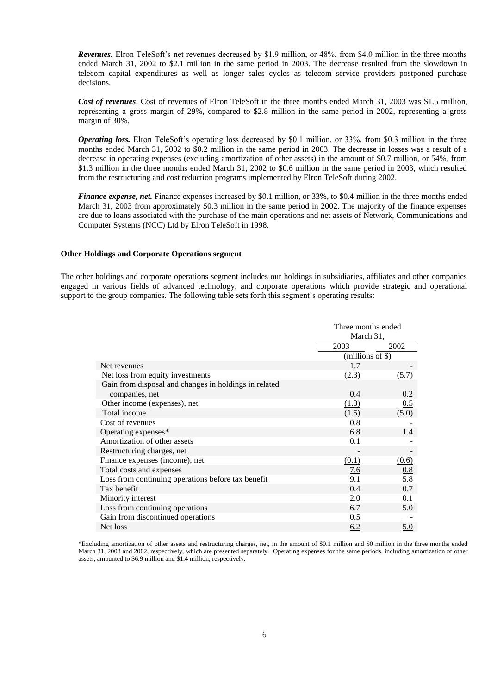*Revenues.* Elron TeleSoft's net revenues decreased by \$1.9 million, or 48%, from \$4.0 million in the three months ended March 31, 2002 to \$2.1 million in the same period in 2003. The decrease resulted from the slowdown in telecom capital expenditures as well as longer sales cycles as telecom service providers postponed purchase decisions.

*Cost of revenues*. Cost of revenues of Elron TeleSoft in the three months ended March 31, 2003 was \$1.5 million, representing a gross margin of 29%, compared to \$2.8 million in the same period in 2002, representing a gross margin of 30%.

*Operating loss.* Elron TeleSoft's operating loss decreased by \$0.1 million, or 33%, from \$0.3 million in the three months ended March 31, 2002 to \$0.2 million in the same period in 2003. The decrease in losses was a result of a decrease in operating expenses (excluding amortization of other assets) in the amount of \$0.7 million, or 54%, from \$1.3 million in the three months ended March 31, 2002 to \$0.6 million in the same period in 2003, which resulted from the restructuring and cost reduction programs implemented by Elron TeleSoft during 2002.

*Finance expense, net.* Finance expenses increased by \$0.1 million, or 33%, to \$0.4 million in the three months ended March 31, 2003 from approximately \$0.3 million in the same period in 2002. The majority of the finance expenses are due to loans associated with the purchase of the main operations and net assets of Network, Communications and Computer Systems (NCC) Ltd by Elron TeleSoft in 1998.

#### **Other Holdings and Corporate Operations segment**

The other holdings and corporate operations segment includes our holdings in subsidiaries, affiliates and other companies engaged in various fields of advanced technology, and corporate operations which provide strategic and operational support to the group companies. The following table sets forth this segment's operating results:

|                                                       |                     | Three months ended<br>March 31, |  |
|-------------------------------------------------------|---------------------|---------------------------------|--|
|                                                       | 2003                | 2002                            |  |
|                                                       | $(millions of \$))$ |                                 |  |
| Net revenues                                          | 1.7                 |                                 |  |
| Net loss from equity investments                      | (2.3)               | (5.7)                           |  |
| Gain from disposal and changes in holdings in related |                     |                                 |  |
| companies, net                                        | 0.4                 | 0.2                             |  |
| Other income (expenses), net                          | (1.3)               | 0.5                             |  |
| Total income                                          | (1.5)               | (5.0)                           |  |
| Cost of revenues                                      | 0.8                 |                                 |  |
| Operating expenses*                                   | 6.8                 | 1.4                             |  |
| Amortization of other assets                          | 0.1                 |                                 |  |
| Restructuring charges, net                            |                     |                                 |  |
| Finance expenses (income), net                        | (0.1)               | (0.6)                           |  |
| Total costs and expenses                              | 7.6                 | 0.8                             |  |
| Loss from continuing operations before tax benefit    | 9.1                 | 5.8                             |  |
| Tax benefit                                           | 0.4                 | 0.7                             |  |
| Minority interest                                     | 2.0                 | $\underline{0.1}$               |  |
| Loss from continuing operations                       | 6.7                 | 5.0                             |  |
| Gain from discontinued operations                     | 0.5                 |                                 |  |
| Net loss                                              | 6.2                 | 5.0                             |  |

\*Excluding amortization of other assets and restructuring charges, net, in the amount of \$0.1 million and \$0 million in the three months ended March 31, 2003 and 2002, respectively, which are presented separately. Operating expenses for the same periods, including amortization of other assets, amounted to \$6.9 million and \$1.4 million, respectively.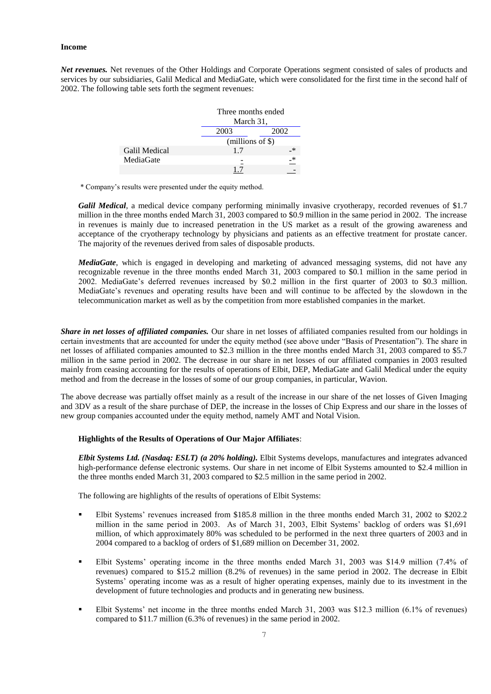#### **Income**

*Net revenues.* Net revenues of the Other Holdings and Corporate Operations segment consisted of sales of products and services by our subsidiaries, Galil Medical and MediaGate, which were consolidated for the first time in the second half of 2002. The following table sets forth the segment revenues:

|               |                     | Three months ended<br>March 31, |  |
|---------------|---------------------|---------------------------------|--|
|               | 2003                | 2002                            |  |
|               | $(millions of \$))$ |                                 |  |
| Galil Medical | 1.7                 | $\ast$                          |  |
| MediaGate     |                     | *                               |  |
|               |                     |                                 |  |

\* Company's results were presented under the equity method.

*Galil Medical*, a medical device company performing minimally invasive cryotherapy, recorded revenues of \$1.7 million in the three months ended March 31, 2003 compared to \$0.9 million in the same period in 2002. The increase in revenues is mainly due to increased penetration in the US market as a result of the growing awareness and acceptance of the cryotherapy technology by physicians and patients as an effective treatment for prostate cancer. The majority of the revenues derived from sales of disposable products.

*MediaGate*, which is engaged in developing and marketing of advanced messaging systems, did not have any recognizable revenue in the three months ended March 31, 2003 compared to \$0.1 million in the same period in 2002. MediaGate's deferred revenues increased by \$0.2 million in the first quarter of 2003 to \$0.3 million. MediaGate's revenues and operating results have been and will continue to be affected by the slowdown in the telecommunication market as well as by the competition from more established companies in the market.

*Share in net losses of affiliated companies.* Our share in net losses of affiliated companies resulted from our holdings in certain investments that are accounted for under the equity method (see above under "Basis of Presentation"). The share in net losses of affiliated companies amounted to \$2.3 million in the three months ended March 31, 2003 compared to \$5.7 million in the same period in 2002. The decrease in our share in net losses of our affiliated companies in 2003 resulted mainly from ceasing accounting for the results of operations of Elbit, DEP, MediaGate and Galil Medical under the equity method and from the decrease in the losses of some of our group companies, in particular, Wavion.

The above decrease was partially offset mainly as a result of the increase in our share of the net losses of Given Imaging and 3DV as a result of the share purchase of DEP, the increase in the losses of Chip Express and our share in the losses of new group companies accounted under the equity method, namely AMT and Notal Vision.

#### **Highlights of the Results of Operations of Our Major Affiliates**:

*Elbit Systems Ltd. (Nasdaq: ESLT) (a 20% holding).* Elbit Systems develops, manufactures and integrates advanced high-performance defense electronic systems. Our share in net income of Elbit Systems amounted to \$2.4 million in the three months ended March 31, 2003 compared to \$2.5 million in the same period in 2002.

The following are highlights of the results of operations of Elbit Systems:

- Elbit Systems' revenues increased from \$185.8 million in the three months ended March 31, 2002 to \$202.2 million in the same period in 2003. As of March 31, 2003, Elbit Systems' backlog of orders was \$1,691 million, of which approximately 80% was scheduled to be performed in the next three quarters of 2003 and in 2004 compared to a backlog of orders of \$1,689 million on December 31, 2002.
- Elbit Systems' operating income in the three months ended March 31, 2003 was \$14.9 million (7.4% of revenues) compared to \$15.2 million (8.2% of revenues) in the same period in 2002. The decrease in Elbit Systems' operating income was as a result of higher operating expenses, mainly due to its investment in the development of future technologies and products and in generating new business.
- Elbit Systems' net income in the three months ended March 31, 2003 was \$12.3 million (6.1% of revenues) compared to \$11.7 million (6.3% of revenues) in the same period in 2002.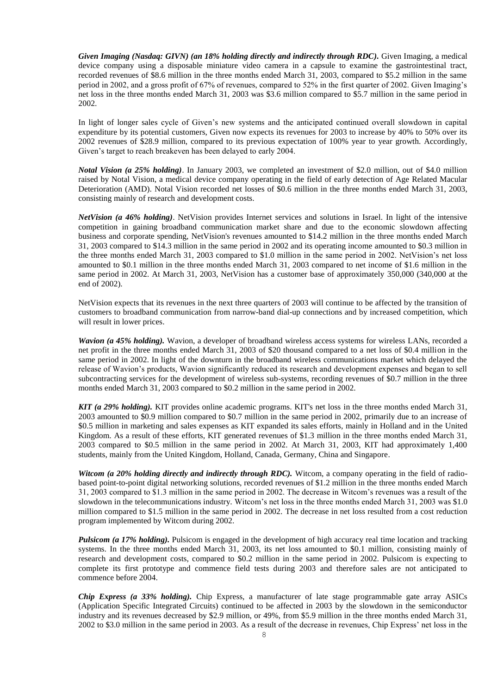*Given Imaging (Nasdaq: GIVN) (an 18% holding directly and indirectly through RDC).* Given Imaging, a medical device company using a disposable miniature video camera in a capsule to examine the gastrointestinal tract, recorded revenues of \$8.6 million in the three months ended March 31, 2003, compared to \$5.2 million in the same period in 2002, and a gross profit of 67% of revenues, compared to 52% in the first quarter of 2002. Given Imaging's net loss in the three months ended March 31, 2003 was \$3.6 million compared to \$5.7 million in the same period in 2002.

In light of longer sales cycle of Given's new systems and the anticipated continued overall slowdown in capital expenditure by its potential customers, Given now expects its revenues for 2003 to increase by 40% to 50% over its 2002 revenues of \$28.9 million, compared to its previous expectation of 100% year to year growth. Accordingly, Given's target to reach breakeven has been delayed to early 2004.

*Notal Vision (a 25% holding)*. In January 2003, we completed an investment of \$2.0 million, out of \$4.0 million raised by Notal Vision, a medical device company operating in the field of early detection of Age Related Macular Deterioration (AMD). Notal Vision recorded net losses of \$0.6 million in the three months ended March 31, 2003, consisting mainly of research and development costs.

*NetVision (a 46% holding)*. NetVision provides Internet services and solutions in Israel. In light of the intensive competition in gaining broadband communication market share and due to the economic slowdown affecting business and corporate spending, NetVision's revenues amounted to \$14.2 million in the three months ended March 31, 2003 compared to \$14.3 million in the same period in 2002 and its operating income amounted to \$0.3 million in the three months ended March 31, 2003 compared to \$1.0 million in the same period in 2002. NetVision's net loss amounted to \$0.1 million in the three months ended March 31, 2003 compared to net income of \$1.6 million in the same period in 2002. At March 31, 2003, NetVision has a customer base of approximately 350,000 (340,000 at the end of 2002).

NetVision expects that its revenues in the next three quarters of 2003 will continue to be affected by the transition of customers to broadband communication from narrow-band dial-up connections and by increased competition, which will result in lower prices.

*Wavion (a 45% holding).* Wavion, a developer of broadband wireless access systems for wireless LANs, recorded a net profit in the three months ended March 31, 2003 of \$20 thousand compared to a net loss of \$0.4 million in the same period in 2002. In light of the downturn in the broadband wireless communications market which delayed the release of Wavion's products, Wavion significantly reduced its research and development expenses and began to sell subcontracting services for the development of wireless sub-systems, recording revenues of \$0.7 million in the three months ended March 31, 2003 compared to \$0.2 million in the same period in 2002.

*KIT (a 29% holding).* KIT provides online academic programs. KIT's net loss in the three months ended March 31, 2003 amounted to \$0.9 million compared to \$0.7 million in the same period in 2002, primarily due to an increase of \$0.5 million in marketing and sales expenses as KIT expanded its sales efforts, mainly in Holland and in the United Kingdom. As a result of these efforts, KIT generated revenues of \$1.3 million in the three months ended March 31, 2003 compared to \$0.5 million in the same period in 2002. At March 31, 2003, KIT had approximately 1,400 students, mainly from the United Kingdom, Holland, Canada, Germany, China and Singapore.

*Witcom (a 20% holding directly and indirectly through RDC)*. Witcom, a company operating in the field of radiobased point-to-point digital networking solutions, recorded revenues of \$1.2 million in the three months ended March 31, 2003 compared to \$1.3 million in the same period in 2002. The decrease in Witcom's revenues was a result of the slowdown in the telecommunications industry. Witcom's net loss in the three months ended March 31, 2003 was \$1.0 million compared to \$1.5 million in the same period in 2002. The decrease in net loss resulted from a cost reduction program implemented by Witcom during 2002.

*Pulsicom (a 17% holding).* Pulsicom is engaged in the development of high accuracy real time location and tracking systems. In the three months ended March 31, 2003, its net loss amounted to \$0.1 million, consisting mainly of research and development costs, compared to \$0.2 million in the same period in 2002. Pulsicom is expecting to complete its first prototype and commence field tests during 2003 and therefore sales are not anticipated to commence before 2004.

*Chip Express (a 33% holding).* Chip Express, a manufacturer of late stage programmable gate array ASICs (Application Specific Integrated Circuits) continued to be affected in 2003 by the slowdown in the semiconductor industry and its revenues decreased by \$2.9 million, or 49%, from \$5.9 million in the three months ended March 31, 2002 to \$3.0 million in the same period in 2003. As a result of the decrease in revenues, Chip Express' net loss in the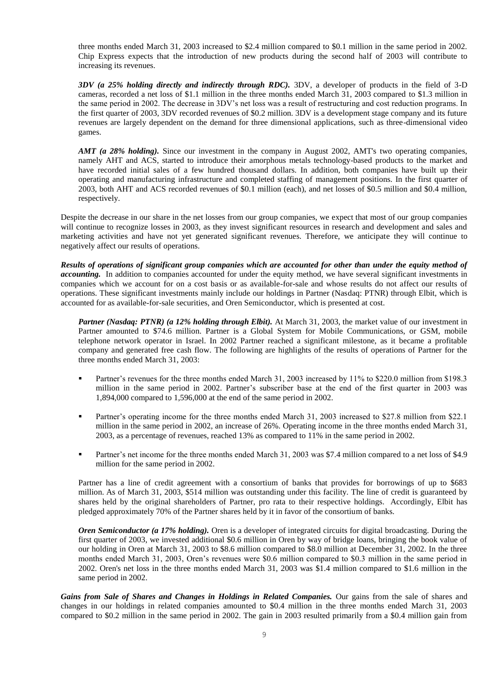three months ended March 31, 2003 increased to \$2.4 million compared to \$0.1 million in the same period in 2002. Chip Express expects that the introduction of new products during the second half of 2003 will contribute to increasing its revenues.

*3DV (a 25% holding directly and indirectly through RDC).* 3DV, a developer of products in the field of 3-D cameras, recorded a net loss of \$1.1 million in the three months ended March 31, 2003 compared to \$1.3 million in the same period in 2002. The decrease in 3DV's net loss was a result of restructuring and cost reduction programs. In the first quarter of 2003, 3DV recorded revenues of \$0.2 million. 3DV is a development stage company and its future revenues are largely dependent on the demand for three dimensional applications, such as three-dimensional video games.

*AMT (a 28% holding)*. Since our investment in the company in August 2002, AMT's two operating companies, namely AHT and ACS, started to introduce their amorphous metals technology-based products to the market and have recorded initial sales of a few hundred thousand dollars. In addition, both companies have built up their operating and manufacturing infrastructure and completed staffing of management positions. In the first quarter of 2003, both AHT and ACS recorded revenues of \$0.1 million (each), and net losses of \$0.5 million and \$0.4 million, respectively.

Despite the decrease in our share in the net losses from our group companies, we expect that most of our group companies will continue to recognize losses in 2003, as they invest significant resources in research and development and sales and marketing activities and have not yet generated significant revenues. Therefore, we anticipate they will continue to negatively affect our results of operations.

*Results of operations of significant group companies which are accounted for other than under the equity method of accounting.* In addition to companies accounted for under the equity method, we have several significant investments in companies which we account for on a cost basis or as available-for-sale and whose results do not affect our results of operations. These significant investments mainly include our holdings in Partner (Nasdaq: PTNR) through Elbit, which is accounted for as available-for-sale securities, and Oren Semiconductor, which is presented at cost.

*Partner (Nasdaq: PTNR) (a 12% holding through Elbit).* At March 31, 2003, the market value of our investment in Partner amounted to \$74.6 million. Partner is a Global System for Mobile Communications, or GSM, mobile telephone network operator in Israel. In 2002 Partner reached a significant milestone, as it became a profitable company and generated free cash flow. The following are highlights of the results of operations of Partner for the three months ended March 31, 2003:

- Partner's revenues for the three months ended March 31, 2003 increased by 11% to \$220.0 million from \$198.3 million in the same period in 2002. Partner's subscriber base at the end of the first quarter in 2003 was 1,894,000 compared to 1,596,000 at the end of the same period in 2002.
- Partner's operating income for the three months ended March 31, 2003 increased to \$27.8 million from \$22.1 million in the same period in 2002, an increase of 26%. Operating income in the three months ended March 31, 2003, as a percentage of revenues, reached 13% as compared to 11% in the same period in 2002.
- Partner's net income for the three months ended March 31, 2003 was \$7.4 million compared to a net loss of \$4.9 million for the same period in 2002.

Partner has a line of credit agreement with a consortium of banks that provides for borrowings of up to \$683 million. As of March 31, 2003, \$514 million was outstanding under this facility. The line of credit is guaranteed by shares held by the original shareholders of Partner, pro rata to their respective holdings. Accordingly, Elbit has pledged approximately 70% of the Partner shares held by it in favor of the consortium of banks.

*Oren Semiconductor (a 17% holding).* Oren is a developer of integrated circuits for digital broadcasting. During the first quarter of 2003, we invested additional \$0.6 million in Oren by way of bridge loans, bringing the book value of our holding in Oren at March 31, 2003 to \$8.6 million compared to \$8.0 million at December 31, 2002. In the three months ended March 31, 2003, Oren's revenues were \$0.6 million compared to \$0.3 million in the same period in 2002. Oren's net loss in the three months ended March 31, 2003 was \$1.4 million compared to \$1.6 million in the same period in 2002.

*Gains from Sale of Shares and Changes in Holdings in Related Companies.* Our gains from the sale of shares and changes in our holdings in related companies amounted to \$0.4 million in the three months ended March 31, 2003 compared to \$0.2 million in the same period in 2002. The gain in 2003 resulted primarily from a \$0.4 million gain from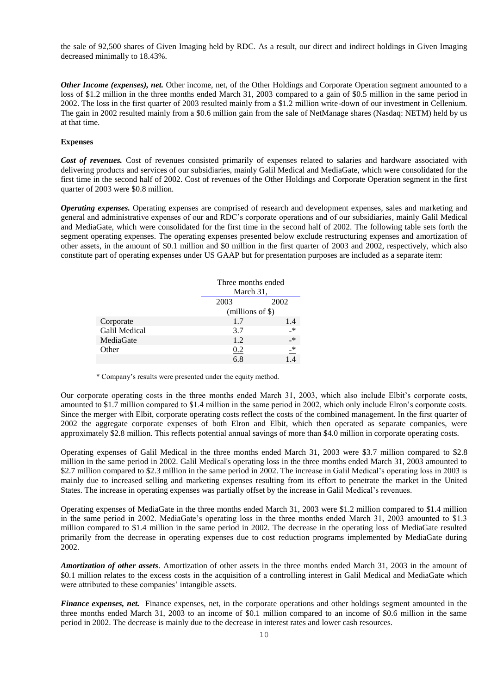the sale of 92,500 shares of Given Imaging held by RDC. As a result, our direct and indirect holdings in Given Imaging decreased minimally to 18.43%.

*Other Income (expenses), net.* Other income, net, of the Other Holdings and Corporate Operation segment amounted to a loss of \$1.2 million in the three months ended March 31, 2003 compared to a gain of \$0.5 million in the same period in 2002. The loss in the first quarter of 2003 resulted mainly from a \$1.2 million write-down of our investment in Cellenium. The gain in 2002 resulted mainly from a \$0.6 million gain from the sale of NetManage shares (Nasdaq: NETM) held by us at that time.

## **Expenses**

*Cost of revenues.* Cost of revenues consisted primarily of expenses related to salaries and hardware associated with delivering products and services of our subsidiaries, mainly Galil Medical and MediaGate, which were consolidated for the first time in the second half of 2002. Cost of revenues of the Other Holdings and Corporate Operation segment in the first quarter of 2003 were \$0.8 million.

*Operating expenses.* Operating expenses are comprised of research and development expenses, sales and marketing and general and administrative expenses of our and RDC's corporate operations and of our subsidiaries, mainly Galil Medical and MediaGate, which were consolidated for the first time in the second half of 2002. The following table sets forth the segment operating expenses. The operating expenses presented below exclude restructuring expenses and amortization of other assets, in the amount of \$0.1 million and \$0 million in the first quarter of 2003 and 2002, respectively, which also constitute part of operating expenses under US GAAP but for presentation purposes are included as a separate item:

|               |                    | Three months ended<br>March 31, |  |
|---------------|--------------------|---------------------------------|--|
|               | 2003               | 2002                            |  |
|               | $(millions of \$)$ |                                 |  |
| Corporate     | 1.7                | 1.4                             |  |
| Galil Medical | 3.7                | $\rightarrow$                   |  |
| MediaGate     | 1.2                | $\rightarrow$                   |  |
| Other         | 0.2                | $\overline{\phantom{a}}^*$      |  |
|               | 6.8                |                                 |  |

\* Company's results were presented under the equity method.

Our corporate operating costs in the three months ended March 31, 2003, which also include Elbit's corporate costs, amounted to \$1.7 million compared to \$1.4 million in the same period in 2002, which only include Elron's corporate costs. Since the merger with Elbit, corporate operating costs reflect the costs of the combined management. In the first quarter of 2002 the aggregate corporate expenses of both Elron and Elbit, which then operated as separate companies, were approximately \$2.8 million. This reflects potential annual savings of more than \$4.0 million in corporate operating costs.

Operating expenses of Galil Medical in the three months ended March 31, 2003 were \$3.7 million compared to \$2.8 million in the same period in 2002. Galil Medical's operating loss in the three months ended March 31, 2003 amounted to \$2.7 million compared to \$2.3 million in the same period in 2002. The increase in Galil Medical's operating loss in 2003 is mainly due to increased selling and marketing expenses resulting from its effort to penetrate the market in the United States. The increase in operating expenses was partially offset by the increase in Galil Medical's revenues.

Operating expenses of MediaGate in the three months ended March 31, 2003 were \$1.2 million compared to \$1.4 million in the same period in 2002. MediaGate's operating loss in the three months ended March 31, 2003 amounted to \$1.3 million compared to \$1.4 million in the same period in 2002. The decrease in the operating loss of MediaGate resulted primarily from the decrease in operating expenses due to cost reduction programs implemented by MediaGate during 2002.

*Amortization of other assets*. Amortization of other assets in the three months ended March 31, 2003 in the amount of \$0.1 million relates to the excess costs in the acquisition of a controlling interest in Galil Medical and MediaGate which were attributed to these companies' intangible assets.

*Finance expenses, net.* Finance expenses, net, in the corporate operations and other holdings segment amounted in the three months ended March 31, 2003 to an income of \$0.1 million compared to an income of \$0.6 million in the same period in 2002. The decrease is mainly due to the decrease in interest rates and lower cash resources.